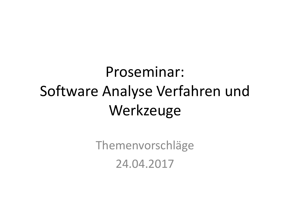### Proseminar: Software Analyse Verfahren und Werkzeuge

Themenvorschläge 24.04.2017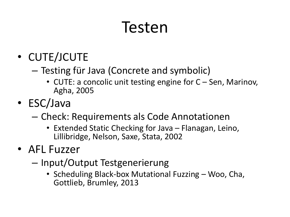### Testen

- CUTE/JCUTE
	- Testing für Java (Concrete and symbolic)
		- CUTE: a concolic unit testing engine for C Sen, Marinov, Agha, 2005
- ESC/Java
	- Check: Requirements als Code Annotationen
		- Extended Static Checking for Java Flanagan, Leino, Lillibridge, Nelson, Saxe, Stata, 2002
- AFL Fuzzer
	- Input/Output Testgenerierung
		- Scheduling Black-box Mutational Fuzzing Woo, Cha, Gottlieb, Brumley, 2013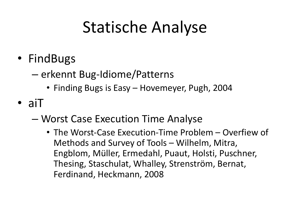### Statische Analyse

- FindBugs
	- erkennt Bug-Idiome/Patterns
		- Finding Bugs is Easy Hovemeyer, Pugh, 2004
- aiT
	- Worst Case Execution Time Analyse
		- The Worst-Case Execution-Time Problem Overfiew of Methods and Survey of Tools – Wilhelm, Mitra, Engblom, Müller, Ermedahl, Puaut, Holsti, Puschner, Thesing, Staschulat, Whalley, Strenström, Bernat, Ferdinand, Heckmann, 2008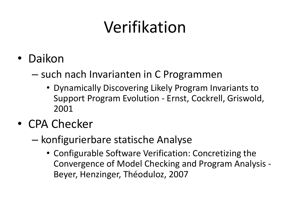# Verifikation

- Daikon
	- such nach Invarianten in C Programmen
		- Dynamically Discovering Likely Program Invariants to Support Program Evolution - Ernst, Cockrell, Griswold, 2001
- CPA Checker
	- konfigurierbare statische Analyse
		- Configurable Software Verification: Concretizing the Convergence of Model Checking and Program Analysis - Beyer, Henzinger, Théoduloz, 2007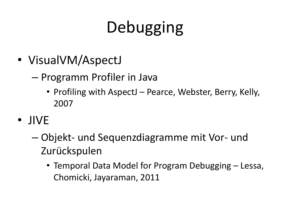# Debugging

- VisualVM/AspectJ
	- Programm Profiler in Java
		- Profiling with AspectJ Pearce, Webster, Berry, Kelly, 2007
- JIVE
	- Objekt- und Sequenzdiagramme mit Vor- und Zurückspulen
		- Temporal Data Model for Program Debugging Lessa, Chomicki, Jayaraman, 2011